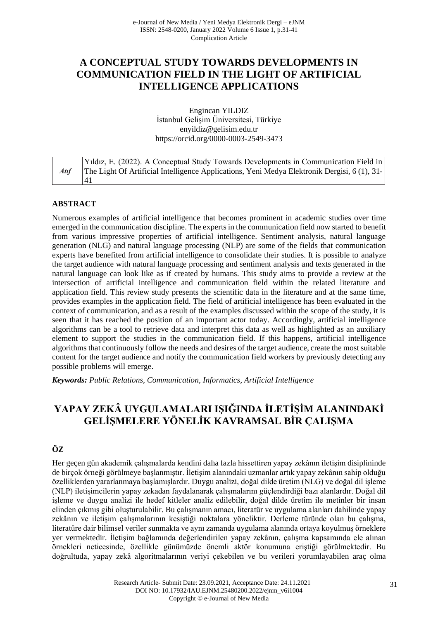# **A CONCEPTUAL STUDY TOWARDS DEVELOPMENTS IN COMMUNICATION FIELD IN THE LIGHT OF ARTIFICIAL INTELLIGENCE APPLICATIONS**

Engincan YILDIZ İstanbul Gelişim Üniversitesi, Türkiye [enyildiz@gelisim.edu.tr](mailto:enyildiz@gelisim.edu.tr) https://orcid.org/0000-0003-2549-3473

|    | Yildiz, E. (2022). A Conceptual Study Towards Developments in Communication Field in        |
|----|---------------------------------------------------------------------------------------------|
| At | The Light Of Artificial Intelligence Applications, Yeni Medya Elektronik Dergisi, 6(1), 31- |
|    | 41                                                                                          |

## **ABSTRACT**

Numerous examples of artificial intelligence that becomes prominent in academic studies over time emerged in the communication discipline. The experts in the communication field now started to benefit from various impressive properties of artificial intelligence. Sentiment analysis, natural language generation (NLG) and natural language processing (NLP) are some of the fields that communication experts have benefited from artificial intelligence to consolidate their studies. It is possible to analyze the target audience with natural language processing and sentiment analysis and texts generated in the natural language can look like as if created by humans. This study aims to provide a review at the intersection of artificial intelligence and communication field within the related literature and application field. This review study presents the scientific data in the literature and at the same time, provides examples in the application field. The field of artificial intelligence has been evaluated in the context of communication, and as a result of the examples discussed within the scope of the study, it is seen that it has reached the position of an important actor today. Accordingly, artificial intelligence algorithms can be a tool to retrieve data and interpret this data as well as highlighted as an auxiliary element to support the studies in the communication field. If this happens, artificial intelligence algorithms that continuously follow the needs and desires of the target audience, create the most suitable content for the target audience and notify the communication field workers by previously detecting any possible problems will emerge.

*Keywords: Public Relations, Communication, Informatics, Artificial Intelligence*

# **YAPAY ZEKÂ UYGULAMALARI IŞIĞINDA İLETİŞİM ALANINDAKİ GELİŞMELERE YÖNELİK KAVRAMSAL BİR ÇALIŞMA**

# **ÖZ**

Her geçen gün akademik çalışmalarda kendini daha fazla hissettiren yapay zekânın iletişim disiplininde de birçok örneği görülmeye başlanmıştır. İletişim alanındaki uzmanlar artık yapay zekânın sahip olduğu özelliklerden yararlanmaya başlamışlardır. Duygu analizi, doğal dilde üretim (NLG) ve doğal dil işleme (NLP) iletişimcilerin yapay zekadan faydalanarak çalışmalarını güçlendirdiği bazı alanlardır. Doğal dil işleme ve duygu analizi ile hedef kitleler analiz edilebilir, doğal dilde üretim ile metinler bir insan elinden çıkmış gibi oluşturulabilir. Bu çalışmanın amacı, literatür ve uygulama alanları dahilinde yapay zekânın ve iletişim çalışmalarının kesiştiği noktalara yöneliktir. Derleme türünde olan bu çalışma, literatüre dair bilimsel veriler sunmakta ve aynı zamanda uygulama alanında ortaya koyulmuş örneklere yer vermektedir. İletişim bağlamında değerlendirilen yapay zekânın, çalışma kapsamında ele alınan örnekleri neticesinde, özellikle günümüzde önemli aktör konumuna eriştiği görülmektedir. Bu doğrultuda, yapay zekâ algoritmalarının veriyi çekebilen ve bu verileri yorumlayabilen araç olma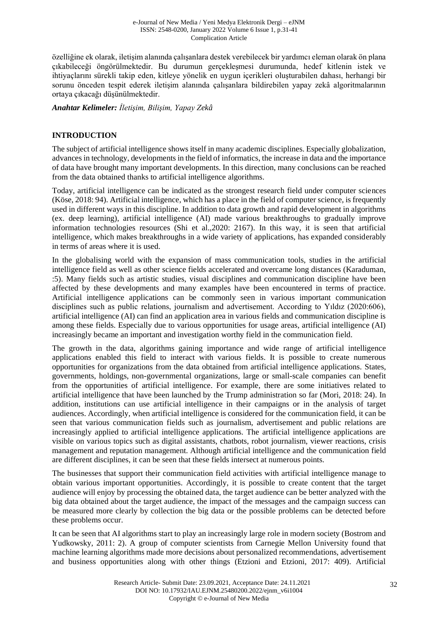e-Journal of New Media / Yeni Medya Elektronik Dergi – eJNM ISSN: 2548-0200, January 2022 Volume 6 Issue 1, p.31-41 Complication Article

özelliğine ek olarak, iletişim alanında çalışanlara destek verebilecek bir yardımcı eleman olarak ön plana çıkabileceği öngörülmektedir. Bu durumun gerçekleşmesi durumunda, hedef kitlenin istek ve ihtiyaçlarını sürekli takip eden, kitleye yönelik en uygun içerikleri oluşturabilen dahası, herhangi bir sorunu önceden tespit ederek iletişim alanında çalışanlara bildirebilen yapay zekâ algoritmalarının ortaya çıkacağı düşünülmektedir.

*Anahtar Kelimeler: İletişim, Bilişim, Yapay Zekâ*

#### **INTRODUCTION**

The subject of artificial intelligence shows itself in many academic disciplines. Especially globalization, advances in technology, developments in the field of informatics, the increase in data and the importance of data have brought many important developments. In this direction, many conclusions can be reached from the data obtained thanks to artificial intelligence algorithms.

Today, artificial intelligence can be indicated as the strongest research field under computer sciences (Köse, 2018: 94). Artificial intelligence, which has a place in the field of computer science, is frequently used in different ways in this discipline. In addition to data growth and rapid development in algorithms (ex. deep learning), artificial intelligence (AI) made various breakthroughs to gradually improve information technologies resources (Shi et al.,2020: 2167). In this way, it is seen that artificial intelligence, which makes breakthroughs in a wide variety of applications, has expanded considerably in terms of areas where it is used.

In the globalising world with the expansion of mass communication tools, studies in the artificial intelligence field as well as other science fields accelerated and overcame long distances (Karaduman, :5). Many fields such as artistic studies, visual disciplines and communication discipline have been affected by these developments and many examples have been encountered in terms of practice. Artificial intelligence applications can be commonly seen in various important communication disciplines such as public relations, journalism and advertisement. According to Yıldız (2020:606), artificial intelligence (AI) can find an application area in various fields and communication discipline is among these fields. Especially due to various opportunities for usage areas, artificial intelligence (AI) increasingly became an important and investigation worthy field in the communication field.

The growth in the data, algorithms gaining importance and wide range of artificial intelligence applications enabled this field to interact with various fields. It is possible to create numerous opportunities for organizations from the data obtained from artificial intelligence applications. States, governments, holdings, non-governmental organizations, large or small-scale companies can benefit from the opportunities of artificial intelligence. For example, there are some initiatives related to artificial intelligence that have been launched by the Trump administration so far (Mori, 2018: 24). In addition, institutions can use artificial intelligence in their campaigns or in the analysis of target audiences. Accordingly, when artificial intelligence is considered for the communication field, it can be seen that various communication fields such as journalism, advertisement and public relations are increasingly applied to artificial intelligence applications. The artificial intelligence applications are visible on various topics such as digital assistants, chatbots, robot journalism, viewer reactions, crisis management and reputation management. Although artificial intelligence and the communication field are different disciplines, it can be seen that these fields intersect at numerous points.

The businesses that support their communication field activities with artificial intelligence manage to obtain various important opportunities. Accordingly, it is possible to create content that the target audience will enjoy by processing the obtained data, the target audience can be better analyzed with the big data obtained about the target audience, the impact of the messages and the campaign success can be measured more clearly by collection the big data or the possible problems can be detected before these problems occur.

It can be seen that AI algorithms start to play an increasingly large role in modern society (Bostrom and Yudkowsky, 2011: 2). A group of computer scientists from Carnegie Mellon University found that machine learning algorithms made more decisions about personalized recommendations, advertisement and business opportunities along with other things (Etzioni and Etzioni, 2017: 409). Artificial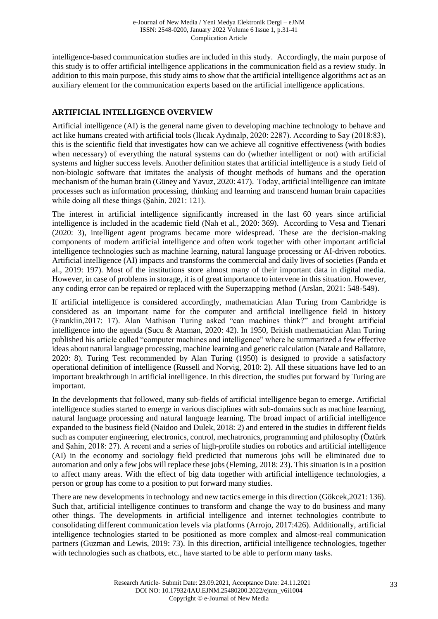intelligence-based communication studies are included in this study. Accordingly, the main purpose of this study is to offer artificial intelligence applications in the communication field as a review study. In addition to this main purpose, this study aims to show that the artificial intelligence algorithms act as an auxiliary element for the communication experts based on the artificial intelligence applications.

# **ARTIFICIAL INTELLIGENCE OVERVIEW**

Artificial intelligence (AI) is the general name given to developing machine technology to behave and act like humans created with artificial tools (Ilıcak Aydınalp, 2020: 2287). According to Say (2018:83), this is the scientific field that investigates how can we achieve all cognitive effectiveness (with bodies when necessary) of everything the natural systems can do (whether intelligent or not) with artificial systems and higher success levels. Another definition states that artificial intelligence is a study field of non-biologic software that imitates the analysis of thought methods of humans and the operation mechanism of the human brain (Güney and Yavuz, 2020: 417). Today, artificial intelligence can imitate processes such as information processing, thinking and learning and transcend human brain capacities while doing all these things (Şahin, 2021: 121).

The interest in artificial intelligence significantly increased in the last 60 years since artificial intelligence is included in the academic field (Nah et al., 2020: 369). According to Vesa and Tienari (2020: 3), intelligent agent programs became more widespread. These are the decision-making components of modern artificial intelligence and often work together with other important artificial intelligence technologies such as machine learning, natural language processing or AI-driven robotics. Artificial intelligence (AI) impacts and transforms the commercial and daily lives of societies (Panda et al., 2019: 197). Most of the institutions store almost many of their important data in digital media. However, in case of problems in storage, it is of great importance to intervene in this situation. However, any coding error can be repaired or replaced with the Superzapping method (Arslan, 2021: 548-549).

If artificial intelligence is considered accordingly, mathematician Alan Turing from Cambridge is considered as an important name for the computer and artificial intelligence field in history (Franklin,2017: 17). Alan Mathison Turing asked "can machines think?" and brought artificial intelligence into the agenda (Sucu & Ataman, 2020: 42). In 1950, British mathematician Alan Turing published his article called "computer machines and intelligence" where he summarized a few effective ideas about natural language processing, machine learning and genetic calculation (Natale and Ballatore, 2020: 8). Turing Test recommended by Alan Turing (1950) is designed to provide a satisfactory operational definition of intelligence (Russell and Norvig, 2010: 2). All these situations have led to an important breakthrough in artificial intelligence. In this direction, the studies put forward by Turing are important.

In the developments that followed, many sub-fields of artificial intelligence began to emerge. Artificial intelligence studies started to emerge in various disciplines with sub-domains such as machine learning, natural language processing and natural language learning. The broad impact of artificial intelligence expanded to the business field (Naidoo and Dulek, 2018: 2) and entered in the studies in different fields such as computer engineering, electronics, control, mechatronics, programming and philosophy (Öztürk and Şahin, 2018: 27). A recent and a series of high-profile studies on robotics and artificial intelligence (AI) in the economy and sociology field predicted that numerous jobs will be eliminated due to automation and only a few jobs will replace these jobs (Fleming, 2018: 23). This situation is in a position to affect many areas. With the effect of big data together with artificial intelligence technologies, a person or group has come to a position to put forward many studies.

There are new developments in technology and new tactics emerge in this direction (Gökcek, 2021: 136). Such that, artificial intelligence continues to transform and change the way to do business and many other things. The developments in artificial intelligence and internet technologies contribute to consolidating different communication levels via platforms (Arrojo, 2017:426). Additionally, artificial intelligence technologies started to be positioned as more complex and almost-real communication partners (Guzman and Lewis, 2019: 73). In this direction, artificial intelligence technologies, together with technologies such as chatbots, etc., have started to be able to perform many tasks.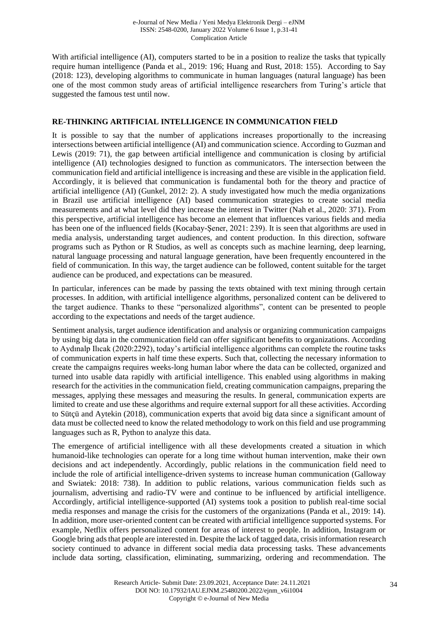With artificial intelligence (AI), computers started to be in a position to realize the tasks that typically require human intelligence (Panda et al., 2019: 196; Huang and Rust, 2018: 155). According to Say (2018: 123), developing algorithms to communicate in human languages (natural language) has been one of the most common study areas of artificial intelligence researchers from Turing's article that suggested the famous test until now.

#### **RE-THINKING ARTIFICIAL INTELLIGENCE IN COMMUNICATION FIELD**

It is possible to say that the number of applications increases proportionally to the increasing intersections between artificial intelligence (AI) and communication science. According to Guzman and Lewis (2019: 71), the gap between artificial intelligence and communication is closing by artificial intelligence (AI) technologies designed to function as communicators. The intersection between the communication field and artificial intelligence is increasing and these are visible in the application field. Accordingly, it is believed that communication is fundamental both for the theory and practice of artificial intelligence (AI) (Gunkel, 2012: 2). A study investigated how much the media organizations in Brazil use artificial intelligence (AI) based communication strategies to create social media measurements and at what level did they increase the interest in Twitter (Nah et al., 2020: 371). From this perspective, artificial intelligence has become an element that influences various fields and media has been one of the influenced fields (Kocabay-Şener, 2021: 239). It is seen that algorithms are used in media analysis, understanding target audiences, and content production. In this direction, software programs such as Python or R Studios, as well as concepts such as machine learning, deep learning, natural language processing and natural language generation, have been frequently encountered in the field of communication. In this way, the target audience can be followed, content suitable for the target audience can be produced, and expectations can be measured.

In particular, inferences can be made by passing the texts obtained with text mining through certain processes. In addition, with artificial intelligence algorithms, personalized content can be delivered to the target audience. Thanks to these "personalized algorithms", content can be presented to people according to the expectations and needs of the target audience.

Sentiment analysis, target audience identification and analysis or organizing communication campaigns by using big data in the communication field can offer significant benefits to organizations. According to Aydınalp Ilıcak (2020:2292), today's artificial intelligence algorithms can complete the routine tasks of communication experts in half time these experts. Such that, collecting the necessary information to create the campaigns requires weeks-long human labor where the data can be collected, organized and turned into usable data rapidly with artificial intelligence. This enabled using algorithms in making research for the activities in the communication field, creating communication campaigns, preparing the messages, applying these messages and measuring the results. In general, communication experts are limited to create and use these algorithms and require external support for all these activities. According to Sütçü and Aytekin (2018), communication experts that avoid big data since a significant amount of data must be collected need to know the related methodology to work on this field and use programming languages such as R, Python to analyze this data.

The emergence of artificial intelligence with all these developments created a situation in which humanoid-like technologies can operate for a long time without human intervention, make their own decisions and act independently. Accordingly, public relations in the communication field need to include the role of artificial intelligence-driven systems to increase human communication (Galloway and Swiatek: 2018: 738). In addition to public relations, various communication fields such as journalism, advertising and radio-TV were and continue to be influenced by artificial intelligence. Accordingly, artificial intelligence-supported (AI) systems took a position to publish real-time social media responses and manage the crisis for the customers of the organizations (Panda et al., 2019: 14). In addition, more user-oriented content can be created with artificial intelligence supported systems. For example, Netflix offers personalized content for areas of interest to people. In addition, Instagram or Google bring ads that people are interested in. Despite the lack of tagged data, crisis information research society continued to advance in different social media data processing tasks. These advancements include data sorting, classification, eliminating, summarizing, ordering and recommendation. The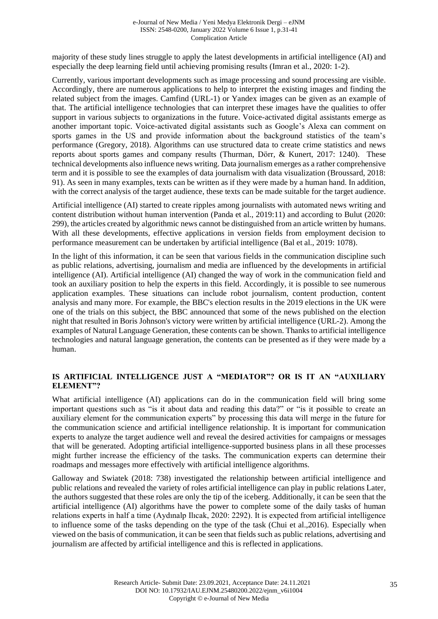majority of these study lines struggle to apply the latest developments in artificial intelligence (AI) and especially the deep learning field until achieving promising results (Imran et al., 2020: 1-2).

Currently, various important developments such as image processing and sound processing are visible. Accordingly, there are numerous applications to help to interpret the existing images and finding the related subject from the images. Camfind (URL-1) or Yandex images can be given as an example of that. The artificial intelligence technologies that can interpret these images have the qualities to offer support in various subjects to organizations in the future. Voice-activated digital assistants emerge as another important topic. Voice-activated digital assistants such as Google's Alexa can comment on sports games in the US and provide information about the background statistics of the team's performance (Gregory, 2018). Algorithms can use structured data to create crime statistics and news reports about sports games and company results (Thurman, Dörr, & Kunert, 2017: 1240). These technical developments also influence news writing. Data journalism emerges as a rather comprehensive term and it is possible to see the examples of data journalism with data visualization (Broussard, 2018: 91). As seen in many examples, texts can be written as if they were made by a human hand. In addition, with the correct analysis of the target audience, these texts can be made suitable for the target audience.

Artificial intelligence (AI) started to create ripples among journalists with automated news writing and content distribution without human intervention (Panda et al., 2019:11) and according to Bulut (2020: 299), the articles created by algorithmic news cannot be distinguished from an article written by humans. With all these developments, effective applications in version fields from employment decision to performance measurement can be undertaken by artificial intelligence (Bal et al., 2019: 1078).

In the light of this information, it can be seen that various fields in the communication discipline such as public relations, advertising, journalism and media are influenced by the developments in artificial intelligence (AI). Artificial intelligence (AI) changed the way of work in the communication field and took an auxiliary position to help the experts in this field. Accordingly, it is possible to see numerous application examples. These situations can include robot journalism, content production, content analysis and many more. For example, the BBC's election results in the 2019 elections in the UK were one of the trials on this subject, the BBC announced that some of the news published on the election night that resulted in Boris Johnson's victory were written by artificial intelligence (URL-2). Among the examples of Natural Language Generation, these contents can be shown. Thanks to artificial intelligence technologies and natural language generation, the contents can be presented as if they were made by a human.

## **IS ARTIFICIAL INTELLIGENCE JUST A "MEDIATOR"? OR IS IT AN "AUXILIARY ELEMENT"?**

What artificial intelligence (AI) applications can do in the communication field will bring some important questions such as "is it about data and reading this data?" or "is it possible to create an auxiliary element for the communication experts" by processing this data will merge in the future for the communication science and artificial intelligence relationship. It is important for communication experts to analyze the target audience well and reveal the desired activities for campaigns or messages that will be generated. Adopting artificial intelligence-supported business plans in all these processes might further increase the efficiency of the tasks. The communication experts can determine their roadmaps and messages more effectively with artificial intelligence algorithms.

Galloway and Swiatek (2018: 738) investigated the relationship between artificial intelligence and public relations and revealed the variety of roles artificial intelligence can play in public relations Later, the authors suggested that these roles are only the tip of the iceberg. Additionally, it can be seen that the artificial intelligence (AI) algorithms have the power to complete some of the daily tasks of human relations experts in half a time (Aydınalp Ilıcak, 2020: 2292). It is expected from artificial intelligence to influence some of the tasks depending on the type of the task (Chui et al.,2016). Especially when viewed on the basis of communication, it can be seen that fields such as public relations, advertising and journalism are affected by artificial intelligence and this is reflected in applications.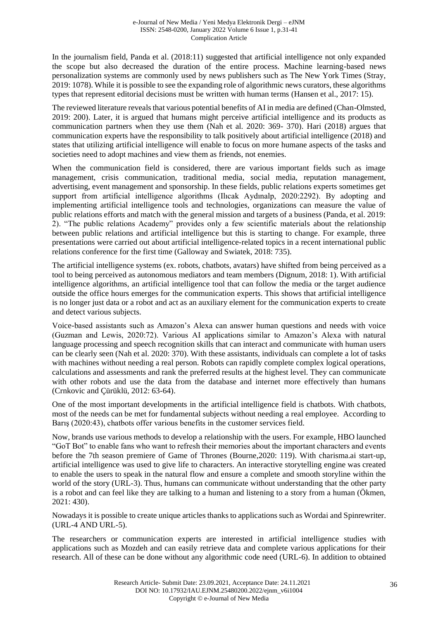In the journalism field, Panda et al. (2018:11) suggested that artificial intelligence not only expanded the scope but also decreased the duration of the entire process. Machine learning-based news personalization systems are commonly used by news publishers such as The New York Times (Stray, 2019: 1078). While it is possible to see the expanding role of algorithmic news curators, these algorithms types that represent editorial decisions must be written with human terms (Hansen et al., 2017: 15).

The reviewed literature reveals that various potential benefits of AI in media are defined (Chan-Olmsted, 2019: 200). Later, it is argued that humans might perceive artificial intelligence and its products as communication partners when they use them (Nah et al. 2020: 369- 370). Hari (2018) argues that communication experts have the responsibility to talk positively about artificial intelligence (2018) and states that utilizing artificial intelligence will enable to focus on more humane aspects of the tasks and societies need to adopt machines and view them as friends, not enemies.

When the communication field is considered, there are various important fields such as image management, crisis communication, traditional media, social media, reputation management, advertising, event management and sponsorship. In these fields, public relations experts sometimes get support from artificial intelligence algorithms (Ilıcak Aydınalp, 2020:2292). By adopting and implementing artificial intelligence tools and technologies, organizations can measure the value of public relations efforts and match with the general mission and targets of a business (Panda, et al. 2019: 2). "The public relations Academy" provides only a few scientific materials about the relationship between public relations and artificial intelligence but this is starting to change. For example, three presentations were carried out about artificial intelligence-related topics in a recent international public relations conference for the first time (Galloway and Swiatek, 2018: 735).

The artificial intelligence systems (ex. robots, chatbots, avatars) have shifted from being perceived as a tool to being perceived as autonomous mediators and team members (Dignum, 2018: 1). With artificial intelligence algorithms, an artificial intelligence tool that can follow the media or the target audience outside the office hours emerges for the communication experts. This shows that artificial intelligence is no longer just data or a robot and act as an auxiliary element for the communication experts to create and detect various subjects.

Voice-based assistants such as Amazon's Alexa can answer human questions and needs with voice (Guzman and Lewis, 2020:72). Various AI applications similar to Amazon's Alexa with natural language processing and speech recognition skills that can interact and communicate with human users can be clearly seen (Nah et al. 2020: 370). With these assistants, individuals can complete a lot of tasks with machines without needing a real person. Robots can rapidly complete complex logical operations, calculations and assessments and rank the preferred results at the highest level. They can communicate with other robots and use the data from the database and internet more effectively than humans (Crnkovic and Çürüklü, 2012: 63-64).

One of the most important developments in the artificial intelligence field is chatbots. With chatbots, most of the needs can be met for fundamental subjects without needing a real employee. According to Barış (2020:43), chatbots offer various benefits in the customer services field.

Now, brands use various methods to develop a relationship with the users. For example, HBO launched "GoT Bot" to enable fans who want to refresh their memories about the important characters and events before the 7th season premiere of Game of Thrones (Bourne,2020: 119). With charisma.ai start-up, artificial intelligence was used to give life to characters. An interactive storytelling engine was created to enable the users to speak in the natural flow and ensure a complete and smooth storyline within the world of the story (URL-3). Thus, humans can communicate without understanding that the other party is a robot and can feel like they are talking to a human and listening to a story from a human (Ökmen, 2021: 430).

Nowadays it is possible to create unique articles thanks to applications such as Wordai and Spinrewriter. (URL-4 AND URL-5).

The researchers or communication experts are interested in artificial intelligence studies with applications such as Mozdeh and can easily retrieve data and complete various applications for their research. All of these can be done without any algorithmic code need (URL-6). In addition to obtained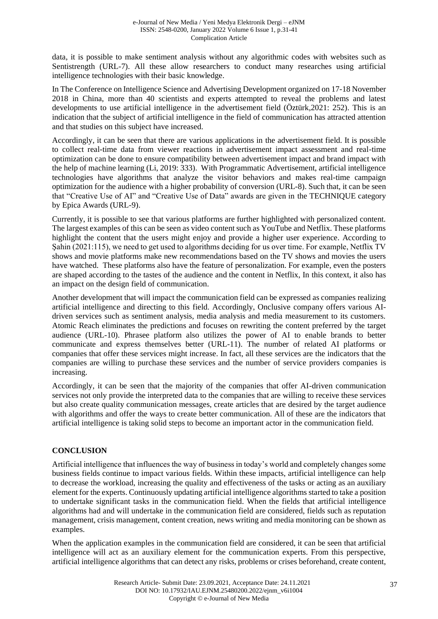data, it is possible to make sentiment analysis without any algorithmic codes with websites such as Sentistrength (URL-7). All these allow researchers to conduct many researches using artificial intelligence technologies with their basic knowledge.

In The Conference on Intelligence Science and Advertising Development organized on 17-18 November 2018 in China, more than 40 scientists and experts attempted to reveal the problems and latest developments to use artificial intelligence in the advertisement field (Öztürk,2021: 252). This is an indication that the subject of artificial intelligence in the field of communication has attracted attention and that studies on this subject have increased.

Accordingly, it can be seen that there are various applications in the advertisement field. It is possible to collect real-time data from viewer reactions in advertisement impact assessment and real-time optimization can be done to ensure compatibility between advertisement impact and brand impact with the help of machine learning (Li, 2019: 333). With Programmatic Advertisement, artificial intelligence technologies have algorithms that analyze the visitor behaviors and makes real-time campaign optimization for the audience with a higher probability of conversion (URL-8). Such that, it can be seen that "Creative Use of AI" and "Creative Use of Data" awards are given in the TECHNIQUE category by Epica Awards (URL-9).

Currently, it is possible to see that various platforms are further highlighted with personalized content. The largest examples of this can be seen as video content such as YouTube and Netflix. These platforms highlight the content that the users might enjoy and provide a higher user experience. According to Şahin (2021:115), we need to get used to algorithms deciding for us over time. For example, Netflix TV shows and movie platforms make new recommendations based on the TV shows and movies the users have watched. These platforms also have the feature of personalization. For example, even the posters are shaped according to the tastes of the audience and the content in Netflix, In this context, it also has an impact on the design field of communication.

Another development that will impact the communication field can be expressed as companies realizing artificial intelligence and directing to this field. Accordingly, Onclusive company offers various AIdriven services such as sentiment analysis, media analysis and media measurement to its customers. Atomic Reach eliminates the predictions and focuses on rewriting the content preferred by the target audience (URL-10). Phrasee platform also utilizes the power of AI to enable brands to better communicate and express themselves better (URL-11). The number of related AI platforms or companies that offer these services might increase. In fact, all these services are the indicators that the companies are willing to purchase these services and the number of service providers companies is increasing.

Accordingly, it can be seen that the majority of the companies that offer AI-driven communication services not only provide the interpreted data to the companies that are willing to receive these services but also create quality communication messages, create articles that are desired by the target audience with algorithms and offer the ways to create better communication. All of these are the indicators that artificial intelligence is taking solid steps to become an important actor in the communication field.

# **CONCLUSION**

Artificial intelligence that influences the way of business in today's world and completely changes some business fields continue to impact various fields. Within these impacts, artificial intelligence can help to decrease the workload, increasing the quality and effectiveness of the tasks or acting as an auxiliary element for the experts. Continuously updating artificial intelligence algorithms started to take a position to undertake significant tasks in the communication field. When the fields that artificial intelligence algorithms had and will undertake in the communication field are considered, fields such as reputation management, crisis management, content creation, news writing and media monitoring can be shown as examples.

When the application examples in the communication field are considered, it can be seen that artificial intelligence will act as an auxiliary element for the communication experts. From this perspective, artificial intelligence algorithms that can detect any risks, problems or crises beforehand, create content,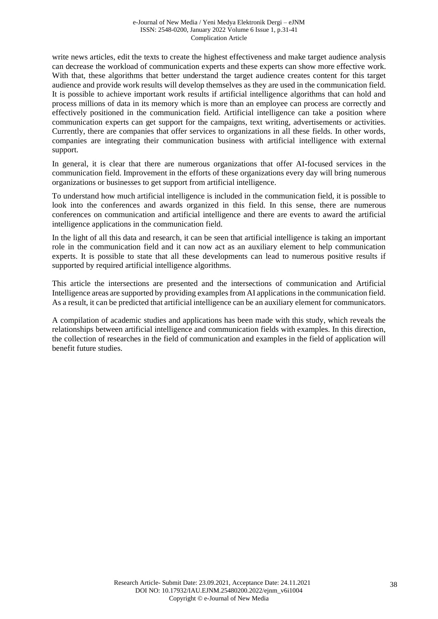write news articles, edit the texts to create the highest effectiveness and make target audience analysis can decrease the workload of communication experts and these experts can show more effective work. With that, these algorithms that better understand the target audience creates content for this target audience and provide work results will develop themselves as they are used in the communication field. It is possible to achieve important work results if artificial intelligence algorithms that can hold and process millions of data in its memory which is more than an employee can process are correctly and effectively positioned in the communication field. Artificial intelligence can take a position where communication experts can get support for the campaigns, text writing, advertisements or activities. Currently, there are companies that offer services to organizations in all these fields. In other words, companies are integrating their communication business with artificial intelligence with external support.

In general, it is clear that there are numerous organizations that offer AI-focused services in the communication field. Improvement in the efforts of these organizations every day will bring numerous organizations or businesses to get support from artificial intelligence.

To understand how much artificial intelligence is included in the communication field, it is possible to look into the conferences and awards organized in this field. In this sense, there are numerous conferences on communication and artificial intelligence and there are events to award the artificial intelligence applications in the communication field.

In the light of all this data and research, it can be seen that artificial intelligence is taking an important role in the communication field and it can now act as an auxiliary element to help communication experts. It is possible to state that all these developments can lead to numerous positive results if supported by required artificial intelligence algorithms.

This article the intersections are presented and the intersections of communication and Artificial Intelligence areas are supported by providing examples from AI applications in the communication field. As a result, it can be predicted that artificial intelligence can be an auxiliary element for communicators.

A compilation of academic studies and applications has been made with this study, which reveals the relationships between artificial intelligence and communication fields with examples. In this direction, the collection of researches in the field of communication and examples in the field of application will benefit future studies.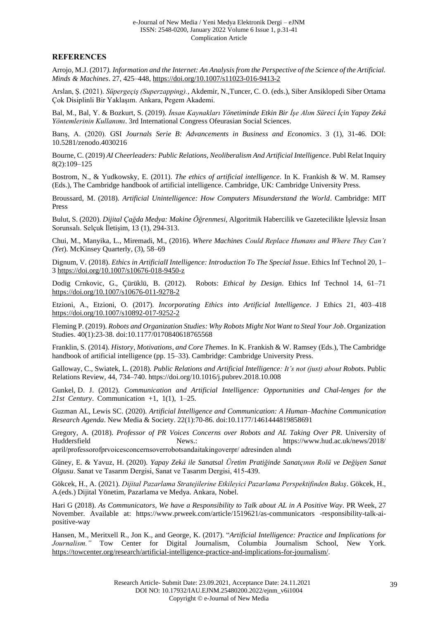#### **REFERENCES**

Arrojo, M.J. (2017*). Information and the Internet: An Analysis from the Perspective of the Science of the Artificial. Minds & Machines*. 27, 425–448[, https://doi.org/10.1007/s11023-016-9413-2](https://doi.org/10.1007/s11023-016-9413-2)

Arslan, Ş. (2021). *Süpergeçiş (Superzapping).*, Akdemir, N.,Tuncer, C. O. (eds.), Siber Ansiklopedi Siber Ortama Çok Disiplinli Bir Yaklaşım. Ankara, Pegem Akademi.

Bal, M., Bal, Y. & Bozkurt, S. (2019). *İnsan Kaynakları Yönetiminde Etkin Bir İşe Alım Süreci İçin Yapay Zekâ Yöntemlerinin Kullanımı*. 3rd International Congress Ofeurasian Social Sciences.

Barış, A. (2020). GSI *Journals Serie B: Advancements in Business and Economics*. 3 (1), 31-46. DOI: 10.5281/zenodo.4030216

Bourne, C. (2019) *AI Cheerleaders: Public Relations, Neoliberalism And Artificial Intelligence*. Publ Relat Inquiry 8(2):109–125

Bostrom, N., & Yudkowsky, E. (2011). *The ethics of artificial intelligence*. In K. Frankish & W. M. Ramsey (Eds.), The Cambridge handbook of artificial intelligence. Cambridge, UK: Cambridge University Press.

Broussard, M. (2018). *Artificial Unintelligence: How Computers Misunderstand the World*. Cambridge: MIT Press

Bulut, S. (2020). *Dijital Çağda Medya: Makine Öğrenmesi,* Algoritmik Habercilik ve Gazetecilikte İşlevsiz İnsan Sorunsalı. Selçuk İletişim, 13 (1), 294-313.

Chui, M., Manyika, L., Miremadi, M., (2016). *Where Machines Could Replace Humans and Where They Can't (Yet*). McKinsey Quarterly, (3), 58–69

Dignum, V*.* (2018). *Ethics in ArtificialI Intelligence: Introduction To The Special Issue*. Ethics Inf Technol 20, 1– 3 <https://doi.org/10.1007/s10676-018-9450-z>

Dodig Crnkovic, G., Çürüklü, B. (2012). Robots: *Ethical by Design*. Ethics Inf Technol 14, 61–71 <https://doi.org/10.1007/s10676-011-9278-2>

Etzioni, A., Etzioni, O. (2017). *Incorporating Ethics into Artificial Intelligence*. J Ethics 21, 403–418 <https://doi.org/10.1007/s10892-017-9252-2>

Fleming P. (2019). *Robots and Organization Studies: Why Robots Might Not Want to Steal Your Job*. Organization Studies. 40(1):23-38. doi:10.1177/0170840618765568

Franklin, S. (2014). *History, Motivations, and Core Themes*. In K. Frankish & W. Ramsey (Eds.), The Cambridge handbook of artificial intelligence (pp. 15–33). Cambridge: Cambridge University Press.

Galloway, C., Swiatek, L. (2018). *Public Relations and Artificial Intelligence: It's not (just) about Robots*. Public Relations Review, 44, 734–740[. https://doi.org/10.1016/j.pubrev.2018.10.008](https://doi.org/10.1016/j.pubrev.2018.10.008)

Gunkel, D. J. (2012). *Communication and Artificial Intelligence: Opportunities and Chal-lenges for the 21st Century*. Communication +1, 1(1), 1–25.

Guzman AL, Lewis SC. (2020). *Artificial Intelligence and Communication: A Human–Machine Communication Research Agenda*. New Media & Society. 22(1):70-86. doi:10.1177/1461444819858691

Gregory, A. (2018). *Professor of PR Voices Concerns over Robots and AL Taking Over PR*. University of Huddersfield News.: https://www.hud.ac.uk/news/2018/ april/professorofprvoicesconcernsoverrobotsandaitakingoverpr/ adresinden alındı

Güney, E. & Yavuz, H. (2020). *Yapay Zekâ ile Sanatsal Üretim Pratiğinde Sanatçının Rolü ve Değişen Sanat Olgusu*. Sanat ve Tasarım Dergisi, Sanat ve Tasarım Dergisi, 415-439.

Gökcek, H., A. (2021). *Dijital Pazarlama Stratejilerine Etkileyici Pazarlama Perspektifinden Bakış*. Gökcek, H., A.(eds.) Dijital Yönetim, Pazarlama ve Medya. Ankara, Nobel.

Hari G (2018). *As Communicators, We have a Responsibility to Talk about AL in A Positive Way*. PR Week, 27 November. Available at: https://www.prweek.com/article/1519621/as-communicators -responsibility-talk-aipositive-way

Hansen, M., Meritxell R., Jon K., and George, K. (2017). "*Artificial Intelligence: Practice and Implications for Journalism."* Tow Center for Digital Journalism, Columbia Journalism School, New York. [https://towcenter.org/research/artificial-intelligence-practice-and-implications-for-journalism/.](https://towcenter.org/research/artificial-intelligence-practice-and-implications-for-journalism/)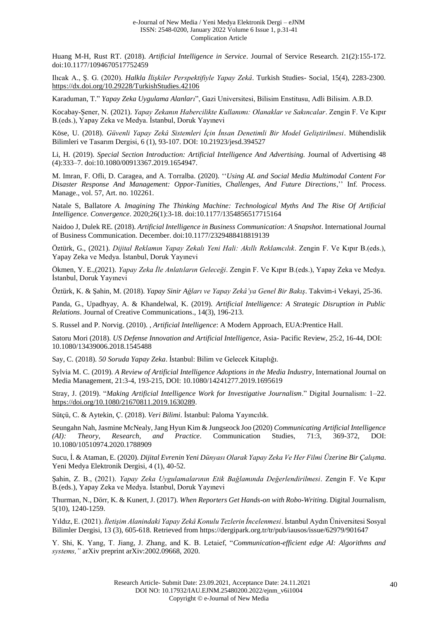Huang M-H, Rust RT. (2018). *Artificial Intelligence in Service*. Journal of Service Research. 21(2):155-172. doi:10.1177/1094670517752459

Ilıcak A., Ş. G. (2020). *Halkla İlişkiler Perspektifiyle Yapay Zekâ*. Turkish Studies- Social, 15(4), 2283-2300. <https://dx.doi.org/10.29228/TurkishStudies.42106>

Karaduman, T." *Yapay Zeka Uygulama Alanları*", Gazi Universitesi, Bilisim Enstitusu, Adli Bilisim. A.B.D.

Kocabay-Şener, N. (2021). *Yapay Zekanın Habercilikte Kullanımı: Olanaklar ve Sakıncalar*. Zengin F. Ve Kıpır B.(eds.), Yapay Zeka ve Medya. İstanbul, Doruk Yayınevi

Köse, U. (2018). *Güvenli Yapay Zekâ Sistemleri İçin İnsan Denetimli Bir Model Geliştirilmesi*. Mühendislik Bilimleri ve Tasarım Dergisi, 6 (1), 93-107. DOI: 10.21923/jesd.394527

Li, H. (2019). *Special Section Introduction: Artificial Intelligence And Advertising.* Journal of Advertising 48 (4):333–7. doi:10.1080/00913367.2019.1654947.

M. Imran, F. Ofli, D. Caragea, and A. Torralba. (2020). ''*Using AL and Social Media Multimodal Content For Disaster Response And Management: Oppor-Tunities, Challenges, And Future Directions*,'' Inf. Process. Manage., vol. 57, Art. no. 102261.

Natale S, Ballatore *A. Imagining The Thinking Machine: Technological Myths And The Rise Of Artificial Intelligence. Convergence*. 2020;26(1):3-18. doi:10.1177/1354856517715164

Naidoo J, Dulek RE. (2018). *Artificial Intelligence in Business Communication: A Snapshot*. International Journal of Business Communication. December. doi:10.1177/2329488418819139

Öztürk, G., (2021). *Dijital Reklamın Yapay Zekalı Yeni Hali: Akıllı Reklamcılık*. Zengin F. Ve Kıpır B.(eds.), Yapay Zeka ve Medya. İstanbul, Doruk Yayınevi

Ökmen, Y. E.,(2021). *Yapay Zeka İle Anlatıların Geleceği*. Zengin F. Ve Kıpır B.(eds.), Yapay Zeka ve Medya. İstanbul, Doruk Yayınevi

Öztürk, K. & Şahin, M. (2018). *Yapay Sinir Ağları ve Yapay Zekâ'ya Genel Bir Bakış*. Takvim-i Vekayi, 25-36.

Panda, G., Upadhyay, A. & Khandelwal, K. (2019). *Artificial Intelligence: A Strategic Disruption in Public Relations*. Journal of Creative Communications., 14(3), 196-213.

S. Russel and P. Norvig. (2010). , *Artificial Intelligence*: A Modern Approach, EUA:Prentice Hall.

Satoru Mori (2018). *US Defense Innovation and Artificial Intelligence*, Asia- Pacific Review, 25:2, 16-44, DOI: 10.1080/13439006.2018.1545488

Say, C. (2018). *50 Soruda Yapay Zeka*. İstanbul: Bilim ve Gelecek Kitaplığı.

Sylvia M. C. (2019). *A Review of Artificial Intelligence Adoptions in the Media Industry*, International Journal on Media Management, 21:3-4, 193-215, DOI: 10.1080/14241277.2019.1695619

Stray, J. (2019). "*Making Artificial Intelligence Work for Investigative Journalism*." Digital Journalism: 1–22. [https://doi.org/10.1080/21670811.2019.1630289.](https://doi.org/10.1080/21670811.2019.1630289)

Sütçü, C. & Aytekin, Ç. (2018). *Veri Bilimi*. İstanbul: Paloma Yayıncılık.

Seungahn Nah, Jasmine McNealy, Jang Hyun Kim & Jungseock Joo (2020) *Communicating Artificial Intelligence (AI): Theory, Research, and Practice.* Communication Studies, 71:3, 369-372, DOI: 10.1080/10510974.2020.1788909

Sucu, İ. & Ataman, E. (2020). *Dijital Evrenin Yeni Dünyası Olarak Yapay Zeka Ve Her Filmi Üzerine Bir Çalışma*. Yeni Medya Elektronik Dergisi, 4 (1), 40-52.

Şahin, Z. B., (2021). *Yapay Zeka Uygulamalarının Etik Bağlamında Değerlendirilmesi*. Zengin F. Ve Kıpır B.(eds.), Yapay Zeka ve Medya. İstanbul, Doruk Yayınevi

Thurman, N., Dörr, K. & Kunert, J. (2017). *When Reporters Get Hands-on with Robo-Writing*. Digital Journalism, 5(10), 1240-1259.

Yıldız, E. (2021). *İletişim Alanindaki Yapay Zekâ Konulu Tezlerin İncelenmesi*. İstanbul Aydın Üniversitesi Sosyal Bilimler Dergisi, 13 (3), 605-618. Retrieved from https://dergipark.org.tr/tr/pub/iausos/issue/62979/901647

Y. Shi, K. Yang, T. Jiang, J. Zhang, and K. B. Letaief, "*Communication-efficient edge AI: Algorithms and systems,"* arXiv preprint arXiv:2002.09668, 2020.